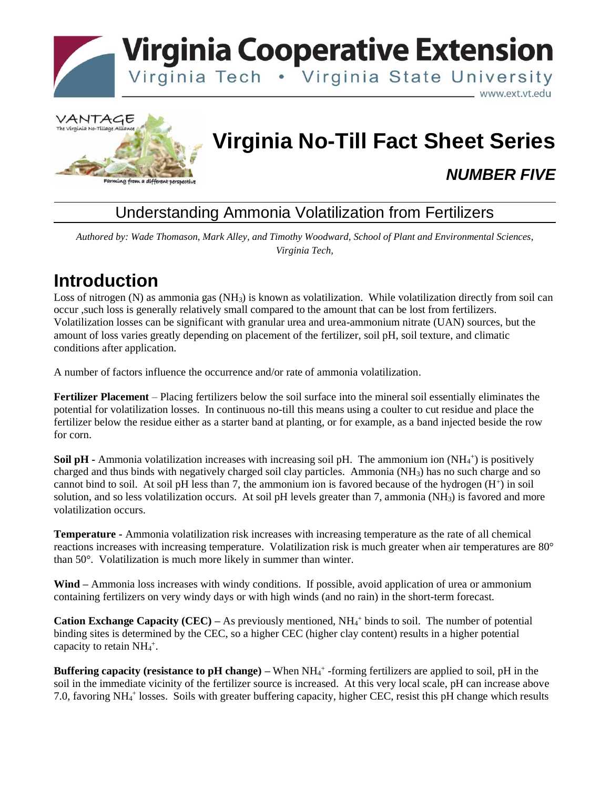



# **Virginia No-Till Fact Sheet Series**

#### *NUMBER FIVE*

#### Understanding Ammonia Volatilization from Fertilizers

*Authored by: Wade Thomason, Mark Alley, and Timothy Woodward, School of Plant and Environmental Sciences, Virginia Tech,*

## **Introduction**

Loss of nitrogen (N) as ammonia gas (NH3) is known as volatilization. While volatilization directly from soil can occur ,such loss is generally relatively small compared to the amount that can be lost from fertilizers. Volatilization losses can be significant with granular urea and urea-ammonium nitrate (UAN) sources, but the amount of loss varies greatly depending on placement of the fertilizer, soil pH, soil texture, and climatic conditions after application.

A number of factors influence the occurrence and/or rate of ammonia volatilization.

**Fertilizer Placement** – Placing fertilizers below the soil surface into the mineral soil essentially eliminates the potential for volatilization losses. In continuous no-till this means using a coulter to cut residue and place the fertilizer below the residue either as a starter band at planting, or for example, as a band injected beside the row for corn.

**Soil pH** - Ammonia volatilization increases with increasing soil pH. The ammonium ion (NH<sub>4</sub><sup>+</sup>) is positively charged and thus binds with negatively charged soil clay particles. Ammonia (NH3) has no such charge and so cannot bind to soil. At soil pH less than 7, the ammonium ion is favored because of the hydrogen (H<sup>+</sup>) in soil solution, and so less volatilization occurs. At soil pH levels greater than 7, ammonia  $(NH<sub>3</sub>)$  is favored and more volatilization occurs.

**Temperature -** Ammonia volatilization risk increases with increasing temperature as the rate of all chemical reactions increases with increasing temperature. Volatilization risk is much greater when air temperatures are 80° than 50°. Volatilization is much more likely in summer than winter.

**Wind –** Ammonia loss increases with windy conditions.If possible, avoid application of urea or ammonium containing fertilizers on very windy days or with high winds (and no rain) in the short-term forecast.

**Cation Exchange Capacity (CEC)** – As previously mentioned,  $NH<sub>4</sub>$ <sup>+</sup> binds to soil. The number of potential binding sites is determined by the CEC, so a higher CEC (higher clay content) results in a higher potential capacity to retain  $NH_4^+$ .

**Buffering capacity (resistance to pH change)** – When NH<sub>4</sub><sup>+</sup> -forming fertilizers are applied to soil, pH in the soil in the immediate vicinity of the fertilizer source is increased. At this very local scale, pH can increase above 7.0, favoring NH<sub>4</sub><sup>+</sup> losses. Soils with greater buffering capacity, higher CEC, resist this pH change which results